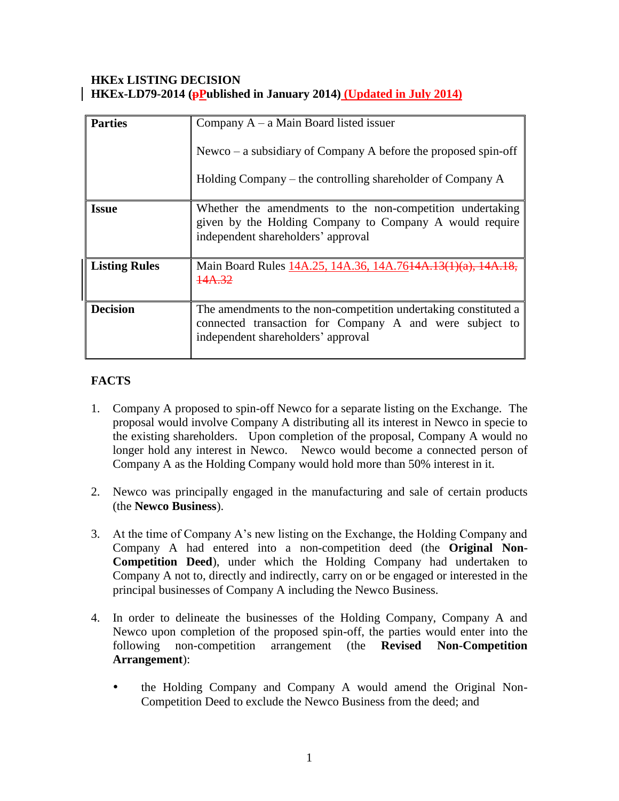#### **HKEx LISTING DECISION HKEx-LD79-2014 (pPublished in January 2014) (Updated in July 2014)**

| <b>Parties</b>       | Company $A - a$ Main Board listed issuer<br>Newco – a subsidiary of Company A before the proposed spin-off<br>Holding Company – the controlling shareholder of Company A |
|----------------------|--------------------------------------------------------------------------------------------------------------------------------------------------------------------------|
| <b>Issue</b>         | Whether the amendments to the non-competition undertaking<br>given by the Holding Company to Company A would require<br>independent shareholders' approval               |
| <b>Listing Rules</b> | Main Board Rules 14A.25, 14A.36, 14A.7614A.13(1)(a)<br>14A 32                                                                                                            |
| <b>Decision</b>      | The amendments to the non-competition undertaking constituted a<br>connected transaction for Company A and were subject to<br>independent shareholders' approval         |

# **FACTS**

- 1. Company A proposed to spin-off Newco for a separate listing on the Exchange. The proposal would involve Company A distributing all its interest in Newco in specie to the existing shareholders. Upon completion of the proposal, Company A would no longer hold any interest in Newco. Newco would become a connected person of Company A as the Holding Company would hold more than 50% interest in it.
- 2. Newco was principally engaged in the manufacturing and sale of certain products (the **Newco Business**).
- 3. At the time of Company A's new listing on the Exchange, the Holding Company and Company A had entered into a non-competition deed (the **Original Non-Competition Deed**), under which the Holding Company had undertaken to Company A not to, directly and indirectly, carry on or be engaged or interested in the principal businesses of Company A including the Newco Business.
- 4. In order to delineate the businesses of the Holding Company, Company A and Newco upon completion of the proposed spin-off, the parties would enter into the following non-competition arrangement (the **Revised Non-Competition Arrangement**):
	- the Holding Company and Company A would amend the Original Non-Competition Deed to exclude the Newco Business from the deed; and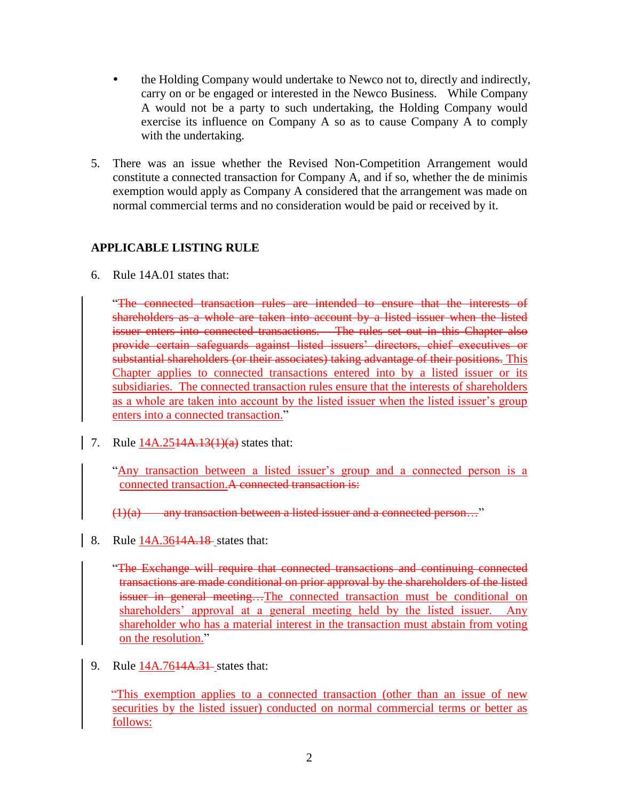- the Holding Company would undertake to Newco not to, directly and indirectly, carry on or be engaged or interested in the Newco Business. While Company A would not be a party to such undertaking, the Holding Company would exercise its influence on Company A so as to cause Company A to comply with the undertaking.
- 5. There was an issue whether the Revised Non-Competition Arrangement would constitute a connected transaction for Company A, and if so, whether the de minimis exemption would apply as Company A considered that the arrangement was made on normal commercial terms and no consideration would be paid or received by it.

## **APPLICABLE LISTING RULE**

6. Rule 14A.01 states that:

"The connected transaction rules are intended to ensure that the interests of shareholders as a whole are taken into account by a listed issuer when the listed issuer enters into connected transactions. The rules set out in this Chapter also provide certain safeguards against listed issuers' directors, chief executives or substantial shareholders (or their associates) taking advantage of their positions. This Chapter applies to connected transactions entered into by a listed issuer or its subsidiaries. The connected transaction rules ensure that the interests of shareholders as a whole are taken into account by the listed issuer when the listed issuer's group enters into a connected transaction."

7. Rule  $14A.2514A.13(1)(a)$  states that:

"Any transaction between a listed issuer's group and a connected person is a connected transaction.A connected transaction is:

 $(1)(a)$  any transaction between a listed issuer and a connected person..."

8. Rule 14A.3614A.18 states that:

"The Exchange will require that connected transactions and continuing connected transactions are made conditional on prior approval by the shareholders of the listed issuer in general meeting…The connected transaction must be conditional on shareholders' approval at a general meeting held by the listed issuer. Any shareholder who has a material interest in the transaction must abstain from voting on the resolution."

9. Rule 14A.76<del>14A.31</del> states that:

"This exemption applies to a connected transaction (other than an issue of new securities by the listed issuer) conducted on normal commercial terms or better as follows: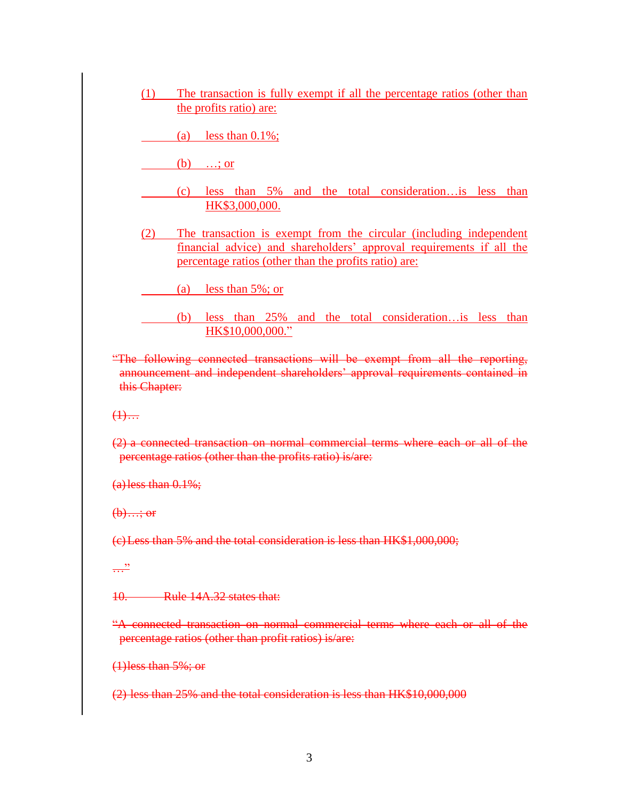(1) The transaction is fully exempt if all the percentage ratios (other than the profits ratio) are:

(a) less than  $0.1\%$ ;

 $(b)$  ...; or

- (c) less than 5% and the total consideration…is less than HK\$3,000,000.
- (2) The transaction is exempt from the circular (including independent financial advice) and shareholders' approval requirements if all the percentage ratios (other than the profits ratio) are:

(a) less than 5%; or

- (b) less than 25% and the total consideration…is less than HK\$10,000,000."
- "The following connected transactions will be exempt from all the reporting, announcement and independent shareholders' approval requirements contained in this Chapter:

 $(1)$ …

(2) a connected transaction on normal commercial terms where each or all of the percentage ratios (other than the profits ratio) is/are:

 $(a)$  less than  $0.1\%$ ;

 $$ 

(c)Less than 5% and the total consideration is less than HK\$1,000,000;

 $\frac{1}{\sqrt{1-\frac{1}{n}}}$ 

10. Rule 14A.32 states that:

"A connected transaction on normal commercial terms where each or all of the percentage ratios (other than profit ratios) is/are:

(1)less than 5%; or

(2) less than 25% and the total consideration is less than HK\$10,000,000